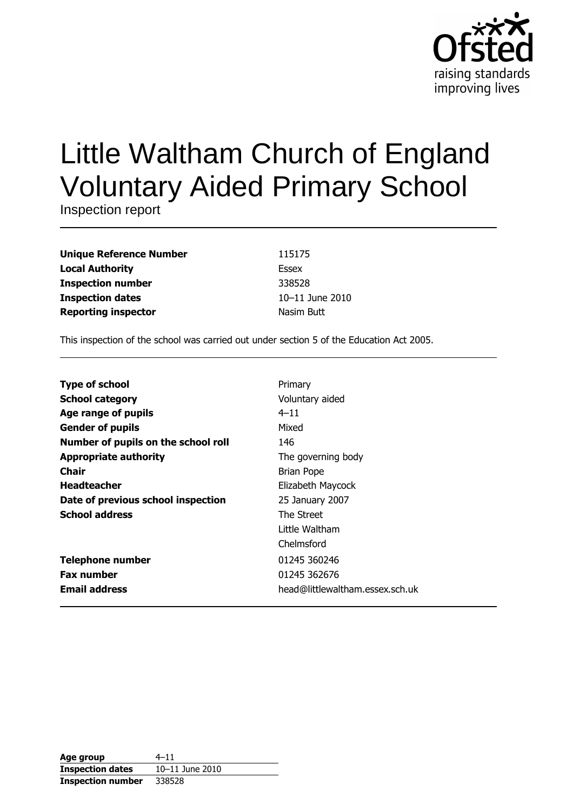

# Little Waltham Church of England **Voluntary Aided Primary School**

Inspection report

| <b>Unique Reference Number</b> |
|--------------------------------|
| <b>Local Authority</b>         |
| <b>Inspection number</b>       |
| <b>Inspection dates</b>        |
| <b>Reporting inspector</b>     |

115175 **Essex** 338528 10-11 June 2010 Nasim Butt

This inspection of the school was carried out under section 5 of the Education Act 2005.

| <b>Type of school</b>               | Primary                         |
|-------------------------------------|---------------------------------|
| <b>School category</b>              | Voluntary aided                 |
| Age range of pupils                 | $4 - 11$                        |
| <b>Gender of pupils</b>             | Mixed                           |
| Number of pupils on the school roll | 146                             |
| <b>Appropriate authority</b>        | The governing body              |
| <b>Chair</b>                        | Brian Pope                      |
| <b>Headteacher</b>                  | Elizabeth Maycock               |
| Date of previous school inspection  | 25 January 2007                 |
| <b>School address</b>               | The Street                      |
|                                     | Little Waltham                  |
|                                     | Chelmsford                      |
| <b>Telephone number</b>             | 01245 360246                    |
| <b>Fax number</b>                   | 01245 362676                    |
| <b>Email address</b>                | head@littlewaltham.essex.sch.uk |

| Age group                | $4 - 11$        |
|--------------------------|-----------------|
| <b>Inspection dates</b>  | 10-11 June 2010 |
| <b>Inspection number</b> | 338528          |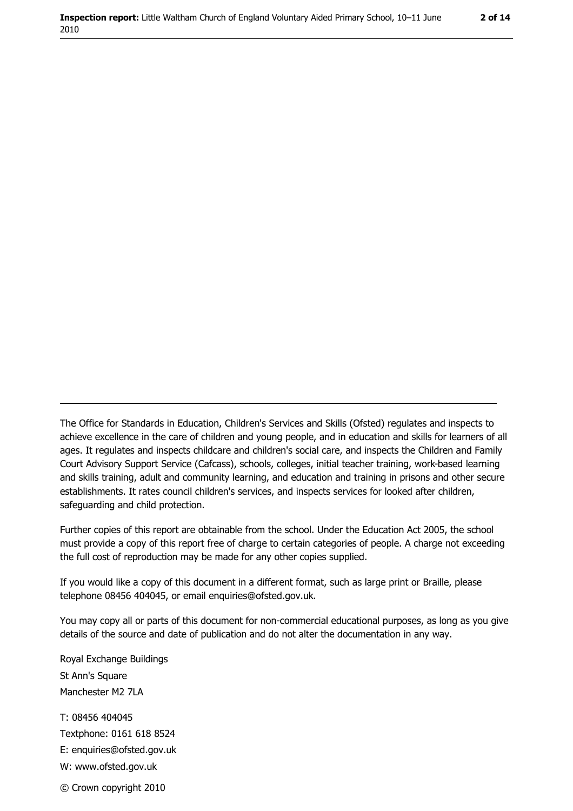The Office for Standards in Education, Children's Services and Skills (Ofsted) regulates and inspects to achieve excellence in the care of children and young people, and in education and skills for learners of all ages. It regulates and inspects childcare and children's social care, and inspects the Children and Family Court Advisory Support Service (Cafcass), schools, colleges, initial teacher training, work-based learning and skills training, adult and community learning, and education and training in prisons and other secure establishments. It rates council children's services, and inspects services for looked after children, safequarding and child protection.

Further copies of this report are obtainable from the school. Under the Education Act 2005, the school must provide a copy of this report free of charge to certain categories of people. A charge not exceeding the full cost of reproduction may be made for any other copies supplied.

If you would like a copy of this document in a different format, such as large print or Braille, please telephone 08456 404045, or email enquiries@ofsted.gov.uk.

You may copy all or parts of this document for non-commercial educational purposes, as long as you give details of the source and date of publication and do not alter the documentation in any way.

Royal Exchange Buildings St Ann's Square Manchester M2 7LA T: 08456 404045 Textphone: 0161 618 8524 E: enquiries@ofsted.gov.uk W: www.ofsted.gov.uk © Crown copyright 2010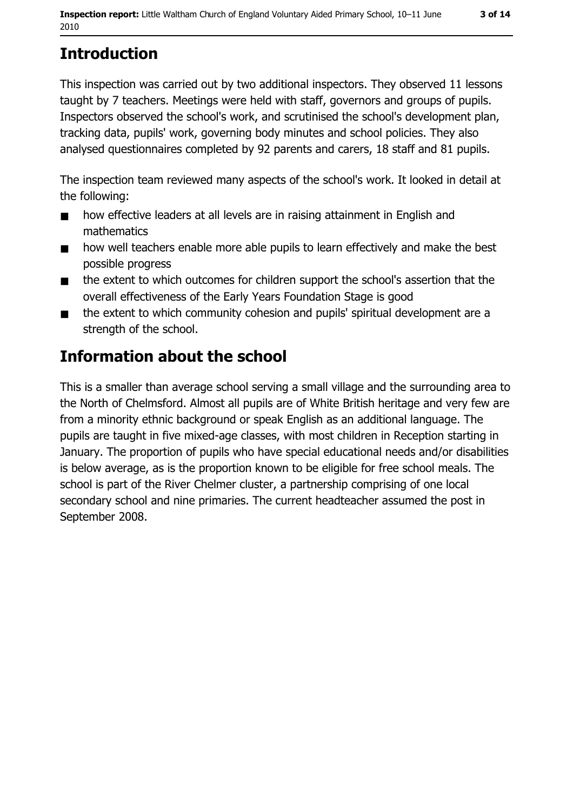# **Introduction**

This inspection was carried out by two additional inspectors. They observed 11 lessons taught by 7 teachers. Meetings were held with staff, governors and groups of pupils. Inspectors observed the school's work, and scrutinised the school's development plan, tracking data, pupils' work, governing body minutes and school policies. They also analysed questionnaires completed by 92 parents and carers, 18 staff and 81 pupils.

The inspection team reviewed many aspects of the school's work. It looked in detail at the following:

- $\blacksquare$ how effective leaders at all levels are in raising attainment in English and mathematics
- how well teachers enable more able pupils to learn effectively and make the best  $\blacksquare$ possible progress
- the extent to which outcomes for children support the school's assertion that the  $\blacksquare$ overall effectiveness of the Early Years Foundation Stage is good
- the extent to which community cohesion and pupils' spiritual development are a  $\blacksquare$ strength of the school.

# Information about the school

This is a smaller than average school serving a small village and the surrounding area to the North of Chelmsford. Almost all pupils are of White British heritage and very few are from a minority ethnic background or speak English as an additional language. The pupils are taught in five mixed-age classes, with most children in Reception starting in January. The proportion of pupils who have special educational needs and/or disabilities is below average, as is the proportion known to be eligible for free school meals. The school is part of the River Chelmer cluster, a partnership comprising of one local secondary school and nine primaries. The current headteacher assumed the post in September 2008.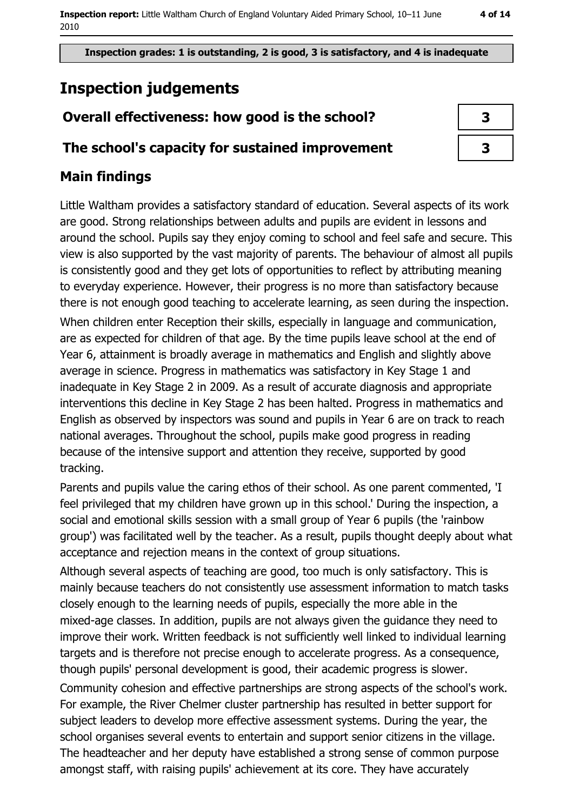Inspection grades: 1 is outstanding, 2 is good, 3 is satisfactory, and 4 is inadequate

# **Inspection judgements**

## Overall effectiveness: how good is the school?

#### The school's capacity for sustained improvement

| 3 |  |
|---|--|
| 3 |  |

## **Main findings**

Little Waltham provides a satisfactory standard of education. Several aspects of its work are good. Strong relationships between adults and pupils are evident in lessons and around the school. Pupils say they enjoy coming to school and feel safe and secure. This view is also supported by the vast majority of parents. The behaviour of almost all pupils is consistently good and they get lots of opportunities to reflect by attributing meaning to everyday experience. However, their progress is no more than satisfactory because there is not enough good teaching to accelerate learning, as seen during the inspection. When children enter Reception their skills, especially in language and communication, are as expected for children of that age. By the time pupils leave school at the end of Year 6, attainment is broadly average in mathematics and English and slightly above average in science. Progress in mathematics was satisfactory in Key Stage 1 and inadequate in Key Stage 2 in 2009. As a result of accurate diagnosis and appropriate interventions this decline in Key Stage 2 has been halted. Progress in mathematics and English as observed by inspectors was sound and pupils in Year 6 are on track to reach national averages. Throughout the school, pupils make good progress in reading because of the intensive support and attention they receive, supported by good tracking.

Parents and pupils value the caring ethos of their school. As one parent commented, 'I feel privileged that my children have grown up in this school.' During the inspection, a social and emotional skills session with a small group of Year 6 pupils (the 'rainbow group') was facilitated well by the teacher. As a result, pupils thought deeply about what acceptance and rejection means in the context of group situations.

Although several aspects of teaching are good, too much is only satisfactory. This is mainly because teachers do not consistently use assessment information to match tasks closely enough to the learning needs of pupils, especially the more able in the mixed-age classes. In addition, pupils are not always given the guidance they need to improve their work. Written feedback is not sufficiently well linked to individual learning targets and is therefore not precise enough to accelerate progress. As a consequence, though pupils' personal development is good, their academic progress is slower.

Community cohesion and effective partnerships are strong aspects of the school's work. For example, the River Chelmer cluster partnership has resulted in better support for subject leaders to develop more effective assessment systems. During the year, the school organises several events to entertain and support senior citizens in the village. The headteacher and her deputy have established a strong sense of common purpose amongst staff, with raising pupils' achievement at its core. They have accurately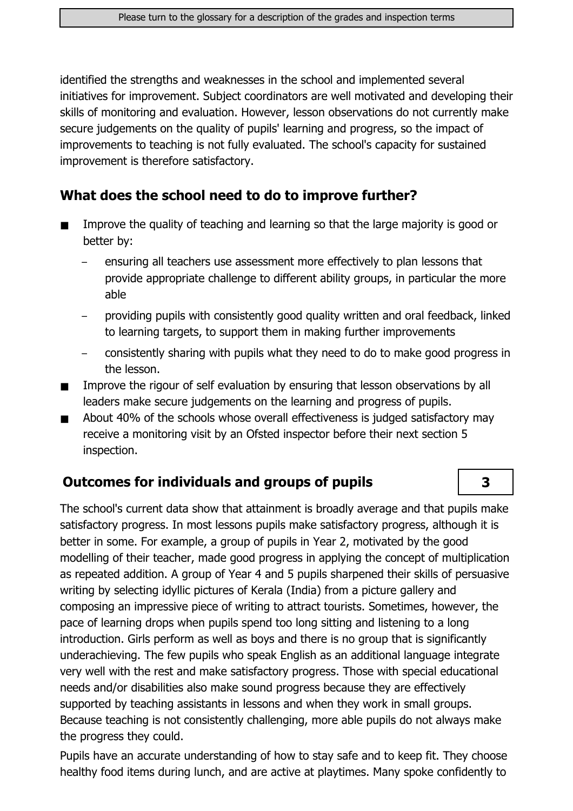identified the strengths and weaknesses in the school and implemented several initiatives for improvement. Subject coordinators are well motivated and developing their skills of monitoring and evaluation. However, lesson observations do not currently make secure judgements on the quality of pupils' learning and progress, so the impact of improvements to teaching is not fully evaluated. The school's capacity for sustained improvement is therefore satisfactory.

### What does the school need to do to improve further?

- Improve the quality of teaching and learning so that the large majority is good or  $\blacksquare$ better by:
	- ensuring all teachers use assessment more effectively to plan lessons that provide appropriate challenge to different ability groups, in particular the more able
	- providing pupils with consistently good quality written and oral feedback, linked to learning targets, to support them in making further improvements
	- consistently sharing with pupils what they need to do to make good progress in the lesson.

3

- Improve the rigour of self evaluation by ensuring that lesson observations by all  $\blacksquare$ leaders make secure judgements on the learning and progress of pupils.
- About 40% of the schools whose overall effectiveness is judged satisfactory may  $\blacksquare$ receive a monitoring visit by an Ofsted inspector before their next section 5 inspection.

### Outcomes for individuals and groups of pupils

The school's current data show that attainment is broadly average and that pupils make satisfactory progress. In most lessons pupils make satisfactory progress, although it is better in some. For example, a group of pupils in Year 2, motivated by the good modelling of their teacher, made good progress in applying the concept of multiplication as repeated addition. A group of Year 4 and 5 pupils sharpened their skills of persuasive writing by selecting idyllic pictures of Kerala (India) from a picture gallery and composing an impressive piece of writing to attract tourists. Sometimes, however, the pace of learning drops when pupils spend too long sitting and listening to a long introduction. Girls perform as well as boys and there is no group that is significantly underachieving. The few pupils who speak English as an additional language integrate very well with the rest and make satisfactory progress. Those with special educational needs and/or disabilities also make sound progress because they are effectively supported by teaching assistants in lessons and when they work in small groups. Because teaching is not consistently challenging, more able pupils do not always make the progress they could.

Pupils have an accurate understanding of how to stay safe and to keep fit. They choose healthy food items during lunch, and are active at playtimes. Many spoke confidently to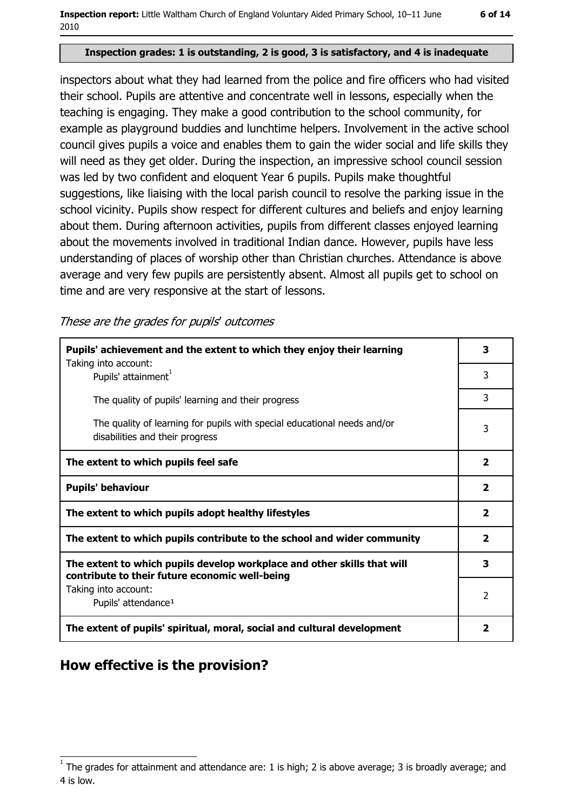#### Inspection grades: 1 is outstanding, 2 is good, 3 is satisfactory, and 4 is inadequate

inspectors about what they had learned from the police and fire officers who had visited their school. Pupils are attentive and concentrate well in lessons, especially when the teaching is engaging. They make a good contribution to the school community, for example as playground buddies and lunchtime helpers. Involvement in the active school council gives pupils a voice and enables them to gain the wider social and life skills they will need as they get older. During the inspection, an impressive school council session was led by two confident and eloquent Year 6 pupils. Pupils make thoughtful suggestions, like liaising with the local parish council to resolve the parking issue in the school vicinity. Pupils show respect for different cultures and beliefs and enjoy learning about them. During afternoon activities, pupils from different classes enjoyed learning about the movements involved in traditional Indian dance. However, pupils have less understanding of places of worship other than Christian churches. Attendance is above average and very few pupils are persistently absent. Almost all pupils get to school on time and are very responsive at the start of lessons.

These are the grades for pupils' outcomes

| Pupils' achievement and the extent to which they enjoy their learning                                                     |                         |
|---------------------------------------------------------------------------------------------------------------------------|-------------------------|
| Taking into account:<br>Pupils' attainment <sup>1</sup>                                                                   | 3                       |
| The quality of pupils' learning and their progress                                                                        | 3                       |
| The quality of learning for pupils with special educational needs and/or<br>disabilities and their progress               | 3                       |
| The extent to which pupils feel safe                                                                                      | $\overline{\mathbf{2}}$ |
| <b>Pupils' behaviour</b>                                                                                                  | $\overline{\mathbf{2}}$ |
| The extent to which pupils adopt healthy lifestyles                                                                       | $\overline{\mathbf{2}}$ |
| The extent to which pupils contribute to the school and wider community                                                   | 2                       |
| The extent to which pupils develop workplace and other skills that will<br>contribute to their future economic well-being | 3                       |
| Taking into account:<br>Pupils' attendance <sup>1</sup>                                                                   | $\overline{2}$          |
| The extent of pupils' spiritual, moral, social and cultural development                                                   | $\overline{\mathbf{2}}$ |

### How effective is the provision?

 $1$  The arades for attainment and attendance are: 1 is high; 2 is above average; 3 is broadly average; and 4 is low.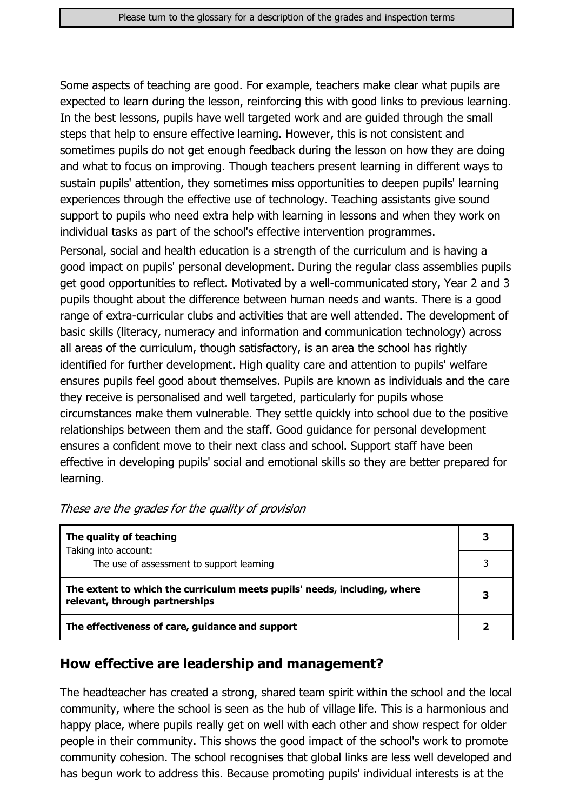Some aspects of teaching are good. For example, teachers make clear what pupils are expected to learn during the lesson, reinforcing this with good links to previous learning. In the best lessons, pupils have well targeted work and are guided through the small steps that help to ensure effective learning. However, this is not consistent and sometimes pupils do not get enough feedback during the lesson on how they are doing and what to focus on improving. Though teachers present learning in different ways to sustain pupils' attention, they sometimes miss opportunities to deepen pupils' learning experiences through the effective use of technology. Teaching assistants give sound support to pupils who need extra help with learning in lessons and when they work on individual tasks as part of the school's effective intervention programmes.

Personal, social and health education is a strength of the curriculum and is having a good impact on pupils' personal development. During the regular class assemblies pupils get good opportunities to reflect. Motivated by a well-communicated story, Year 2 and 3 pupils thought about the difference between human needs and wants. There is a good range of extra-curricular clubs and activities that are well attended. The development of basic skills (literacy, numeracy and information and communication technology) across all areas of the curriculum, though satisfactory, is an area the school has rightly identified for further development. High quality care and attention to pupils' welfare ensures pupils feel good about themselves. Pupils are known as individuals and the care they receive is personalised and well targeted, particularly for pupils whose circumstances make them vulnerable. They settle quickly into school due to the positive relationships between them and the staff. Good guidance for personal development ensures a confident move to their next class and school. Support staff have been effective in developing pupils' social and emotional skills so they are better prepared for learning.

| The quality of teaching                                                                                    |  |
|------------------------------------------------------------------------------------------------------------|--|
| Taking into account:<br>The use of assessment to support learning                                          |  |
| The extent to which the curriculum meets pupils' needs, including, where<br>relevant, through partnerships |  |
| The effectiveness of care, guidance and support                                                            |  |

These are the grades for the quality of provision

### How effective are leadership and management?

The headteacher has created a strong, shared team spirit within the school and the local community, where the school is seen as the hub of village life. This is a harmonious and happy place, where pupils really get on well with each other and show respect for older people in their community. This shows the good impact of the school's work to promote community cohesion. The school recognises that global links are less well developed and has begun work to address this. Because promoting pupils' individual interests is at the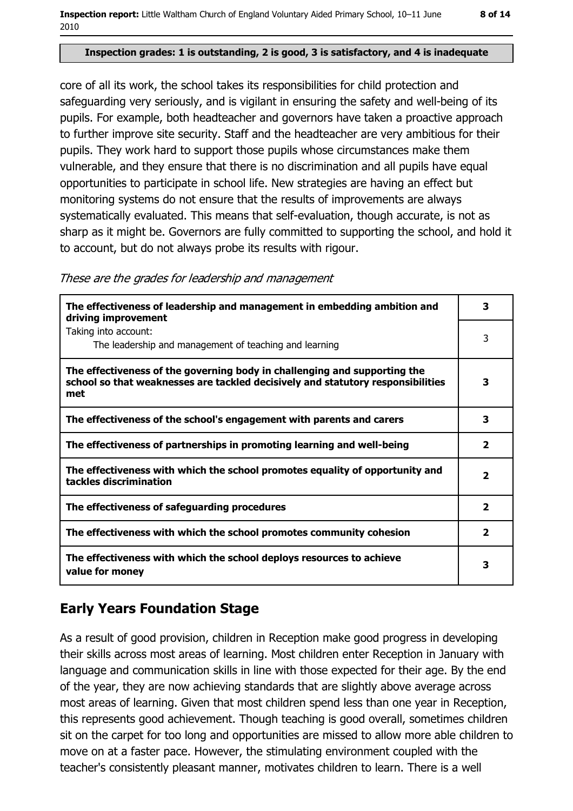#### Inspection grades: 1 is outstanding, 2 is good, 3 is satisfactory, and 4 is inadequate

core of all its work, the school takes its responsibilities for child protection and safeguarding very seriously, and is vigilant in ensuring the safety and well-being of its pupils. For example, both headteacher and governors have taken a proactive approach to further improve site security. Staff and the headteacher are very ambitious for their pupils. They work hard to support those pupils whose circumstances make them vulnerable, and they ensure that there is no discrimination and all pupils have equal opportunities to participate in school life. New strategies are having an effect but monitoring systems do not ensure that the results of improvements are always systematically evaluated. This means that self-evaluation, though accurate, is not as sharp as it might be. Governors are fully committed to supporting the school, and hold it to account, but do not always probe its results with rigour.

These are the grades for leadership and management

| The effectiveness of leadership and management in embedding ambition and<br>driving improvement                                                                     | 3              |
|---------------------------------------------------------------------------------------------------------------------------------------------------------------------|----------------|
| Taking into account:<br>The leadership and management of teaching and learning                                                                                      | 3              |
| The effectiveness of the governing body in challenging and supporting the<br>school so that weaknesses are tackled decisively and statutory responsibilities<br>met | з              |
| The effectiveness of the school's engagement with parents and carers                                                                                                | 3              |
| The effectiveness of partnerships in promoting learning and well-being                                                                                              | $\mathbf{z}$   |
| The effectiveness with which the school promotes equality of opportunity and<br>tackles discrimination                                                              | $\overline{2}$ |
| The effectiveness of safeguarding procedures                                                                                                                        | $\overline{2}$ |
| The effectiveness with which the school promotes community cohesion                                                                                                 | $\overline{2}$ |
| The effectiveness with which the school deploys resources to achieve<br>value for money                                                                             | 3              |

## **Early Years Foundation Stage**

As a result of good provision, children in Reception make good progress in developing their skills across most areas of learning. Most children enter Reception in January with language and communication skills in line with those expected for their age. By the end of the year, they are now achieving standards that are slightly above average across most areas of learning. Given that most children spend less than one year in Reception, this represents good achievement. Though teaching is good overall, sometimes children sit on the carpet for too long and opportunities are missed to allow more able children to move on at a faster pace. However, the stimulating environment coupled with the teacher's consistently pleasant manner, motivates children to learn. There is a well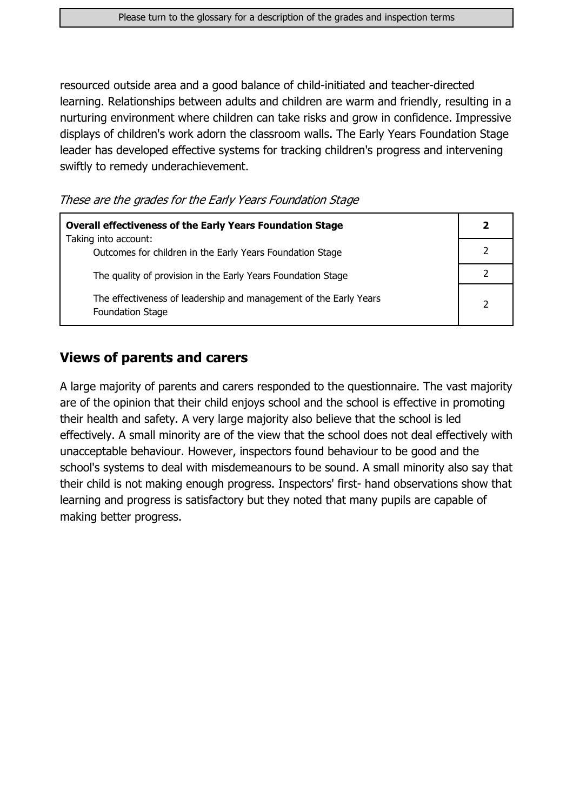resourced outside area and a good balance of child-initiated and teacher-directed learning. Relationships between adults and children are warm and friendly, resulting in a nurturing environment where children can take risks and grow in confidence. Impressive displays of children's work adorn the classroom walls. The Early Years Foundation Stage leader has developed effective systems for tracking children's progress and intervening swiftly to remedy underachievement.

These are the grades for the Early Years Foundation Stage

| <b>Overall effectiveness of the Early Years Foundation Stage</b><br>Taking into account:     | 2             |
|----------------------------------------------------------------------------------------------|---------------|
| Outcomes for children in the Early Years Foundation Stage                                    |               |
| The quality of provision in the Early Years Foundation Stage                                 |               |
| The effectiveness of leadership and management of the Early Years<br><b>Foundation Stage</b> | $\mathcal{P}$ |

#### **Views of parents and carers**

A large majority of parents and carers responded to the questionnaire. The vast majority are of the opinion that their child enjoys school and the school is effective in promoting their health and safety. A very large majority also believe that the school is led effectively. A small minority are of the view that the school does not deal effectively with unacceptable behaviour. However, inspectors found behaviour to be good and the school's systems to deal with misdemeanours to be sound. A small minority also say that their child is not making enough progress. Inspectors' first- hand observations show that learning and progress is satisfactory but they noted that many pupils are capable of making better progress.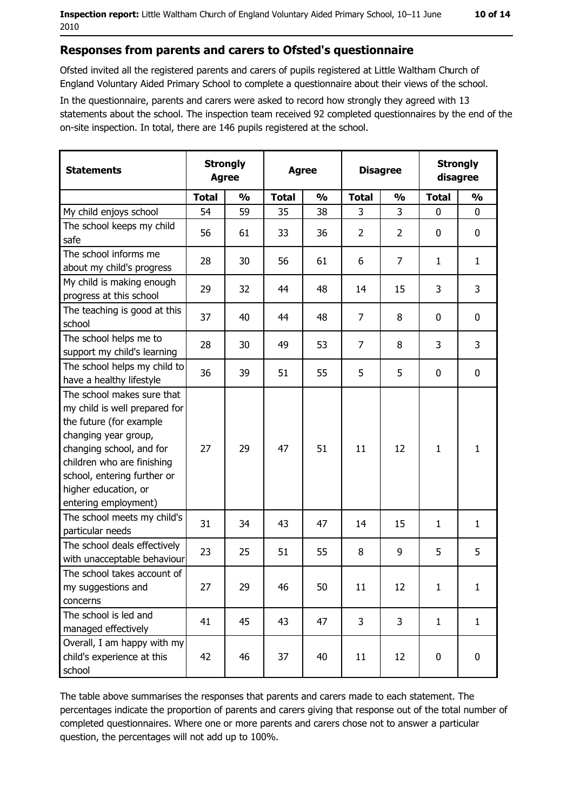#### Responses from parents and carers to Ofsted's questionnaire

Ofsted invited all the registered parents and carers of pupils registered at Little Waltham Church of England Voluntary Aided Primary School to complete a questionnaire about their views of the school.

In the questionnaire, parents and carers were asked to record how strongly they agreed with 13 statements about the school. The inspection team received 92 completed questionnaires by the end of the on-site inspection. In total, there are 146 pupils registered at the school.

| <b>Statements</b>                                                                                                                                                                                                                                       | <b>Strongly</b><br><b>Agree</b> |               | <b>Agree</b> |               |                | <b>Disagree</b> |              | <b>Strongly</b><br>disagree |  |
|---------------------------------------------------------------------------------------------------------------------------------------------------------------------------------------------------------------------------------------------------------|---------------------------------|---------------|--------------|---------------|----------------|-----------------|--------------|-----------------------------|--|
|                                                                                                                                                                                                                                                         | <b>Total</b>                    | $\frac{0}{0}$ | <b>Total</b> | $\frac{0}{0}$ | <b>Total</b>   | $\frac{0}{0}$   | <b>Total</b> | $\frac{0}{0}$               |  |
| My child enjoys school                                                                                                                                                                                                                                  | 54                              | 59            | 35           | 38            | 3              | 3               | $\mathbf 0$  | $\mathbf 0$                 |  |
| The school keeps my child<br>safe                                                                                                                                                                                                                       | 56                              | 61            | 33           | 36            | $\overline{2}$ | $\overline{2}$  | 0            | $\mathbf 0$                 |  |
| The school informs me<br>about my child's progress                                                                                                                                                                                                      | 28                              | 30            | 56           | 61            | 6              | $\overline{7}$  | 1            | $\mathbf{1}$                |  |
| My child is making enough<br>progress at this school                                                                                                                                                                                                    | 29                              | 32            | 44           | 48            | 14             | 15              | 3            | 3                           |  |
| The teaching is good at this<br>school                                                                                                                                                                                                                  | 37                              | 40            | 44           | 48            | $\overline{7}$ | 8               | 0            | $\mathbf 0$                 |  |
| The school helps me to<br>support my child's learning                                                                                                                                                                                                   | 28                              | 30            | 49           | 53            | $\overline{7}$ | 8               | 3            | 3                           |  |
| The school helps my child to<br>have a healthy lifestyle                                                                                                                                                                                                | 36                              | 39            | 51           | 55            | 5              | 5               | $\mathbf 0$  | $\mathbf 0$                 |  |
| The school makes sure that<br>my child is well prepared for<br>the future (for example<br>changing year group,<br>changing school, and for<br>children who are finishing<br>school, entering further or<br>higher education, or<br>entering employment) | 27                              | 29            | 47           | 51            | 11             | 12              | $\mathbf{1}$ | $\mathbf{1}$                |  |
| The school meets my child's<br>particular needs                                                                                                                                                                                                         | 31                              | 34            | 43           | 47            | 14             | 15              | 1            | $\mathbf{1}$                |  |
| The school deals effectively<br>with unacceptable behaviour                                                                                                                                                                                             | 23                              | 25            | 51           | 55            | 8              | 9               | 5            | 5                           |  |
| The school takes account of<br>my suggestions and<br>concerns                                                                                                                                                                                           | 27                              | 29            | 46           | 50            | 11             | 12              | $\mathbf{1}$ | $\mathbf{1}$                |  |
| The school is led and<br>managed effectively                                                                                                                                                                                                            | 41                              | 45            | 43           | 47            | 3              | 3               | $\mathbf{1}$ | $\mathbf{1}$                |  |
| Overall, I am happy with my<br>child's experience at this<br>school                                                                                                                                                                                     | 42                              | 46            | 37           | 40            | 11             | 12              | 0            | $\mathbf 0$                 |  |

The table above summarises the responses that parents and carers made to each statement. The percentages indicate the proportion of parents and carers giving that response out of the total number of completed questionnaires. Where one or more parents and carers chose not to answer a particular question, the percentages will not add up to 100%.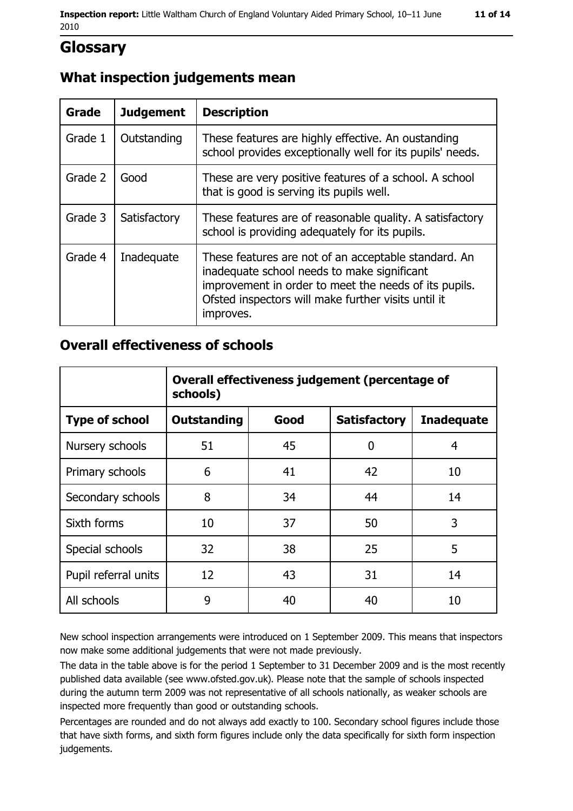## **Glossary**

## What inspection judgements mean

| <b>Grade</b> | <b>Judgement</b> | <b>Description</b>                                                                                                                                                                                                               |
|--------------|------------------|----------------------------------------------------------------------------------------------------------------------------------------------------------------------------------------------------------------------------------|
| Grade 1      | Outstanding      | These features are highly effective. An oustanding<br>school provides exceptionally well for its pupils' needs.                                                                                                                  |
| Grade 2      | Good             | These are very positive features of a school. A school<br>that is good is serving its pupils well.                                                                                                                               |
| Grade 3      | Satisfactory     | These features are of reasonable quality. A satisfactory<br>school is providing adequately for its pupils.                                                                                                                       |
| Grade 4      | Inadequate       | These features are not of an acceptable standard. An<br>inadequate school needs to make significant<br>improvement in order to meet the needs of its pupils.<br>Ofsted inspectors will make further visits until it<br>improves. |

#### **Overall effectiveness of schools**

|                       | Overall effectiveness judgement (percentage of<br>schools) |      |                     |                   |
|-----------------------|------------------------------------------------------------|------|---------------------|-------------------|
| <b>Type of school</b> | <b>Outstanding</b>                                         | Good | <b>Satisfactory</b> | <b>Inadequate</b> |
| Nursery schools       | 51                                                         | 45   | 0                   | 4                 |
| Primary schools       | 6                                                          | 41   | 42                  | 10                |
| Secondary schools     | 8                                                          | 34   | 44                  | 14                |
| Sixth forms           | 10                                                         | 37   | 50                  | 3                 |
| Special schools       | 32                                                         | 38   | 25                  | 5                 |
| Pupil referral units  | 12                                                         | 43   | 31                  | 14                |
| All schools           | 9                                                          | 40   | 40                  | 10                |

New school inspection arrangements were introduced on 1 September 2009. This means that inspectors now make some additional judgements that were not made previously.

The data in the table above is for the period 1 September to 31 December 2009 and is the most recently published data available (see www.ofsted.gov.uk). Please note that the sample of schools inspected during the autumn term 2009 was not representative of all schools nationally, as weaker schools are inspected more frequently than good or outstanding schools.

Percentages are rounded and do not always add exactly to 100. Secondary school figures include those that have sixth forms, and sixth form figures include only the data specifically for sixth form inspection judgements.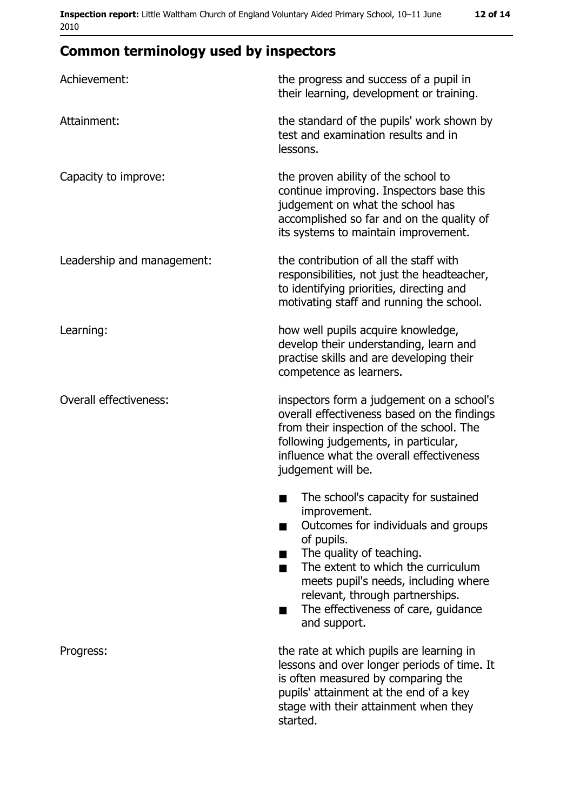## **Common terminology used by inspectors**

| Achievement:                  | the progress and success of a pupil in<br>their learning, development or training.                                                                                                                                                                                                                           |
|-------------------------------|--------------------------------------------------------------------------------------------------------------------------------------------------------------------------------------------------------------------------------------------------------------------------------------------------------------|
| Attainment:                   | the standard of the pupils' work shown by<br>test and examination results and in<br>lessons.                                                                                                                                                                                                                 |
| Capacity to improve:          | the proven ability of the school to<br>continue improving. Inspectors base this<br>judgement on what the school has<br>accomplished so far and on the quality of<br>its systems to maintain improvement.                                                                                                     |
| Leadership and management:    | the contribution of all the staff with<br>responsibilities, not just the headteacher,<br>to identifying priorities, directing and<br>motivating staff and running the school.                                                                                                                                |
| Learning:                     | how well pupils acquire knowledge,<br>develop their understanding, learn and<br>practise skills and are developing their<br>competence as learners.                                                                                                                                                          |
| <b>Overall effectiveness:</b> | inspectors form a judgement on a school's<br>overall effectiveness based on the findings<br>from their inspection of the school. The<br>following judgements, in particular,<br>influence what the overall effectiveness<br>judgement will be.                                                               |
|                               | The school's capacity for sustained<br>improvement.<br>Outcomes for individuals and groups<br>of pupils.<br>The quality of teaching.<br>The extent to which the curriculum<br>meets pupil's needs, including where<br>relevant, through partnerships.<br>The effectiveness of care, guidance<br>and support. |
| Progress:                     | the rate at which pupils are learning in<br>lessons and over longer periods of time. It<br>is often measured by comparing the<br>pupils' attainment at the end of a key<br>stage with their attainment when they<br>started.                                                                                 |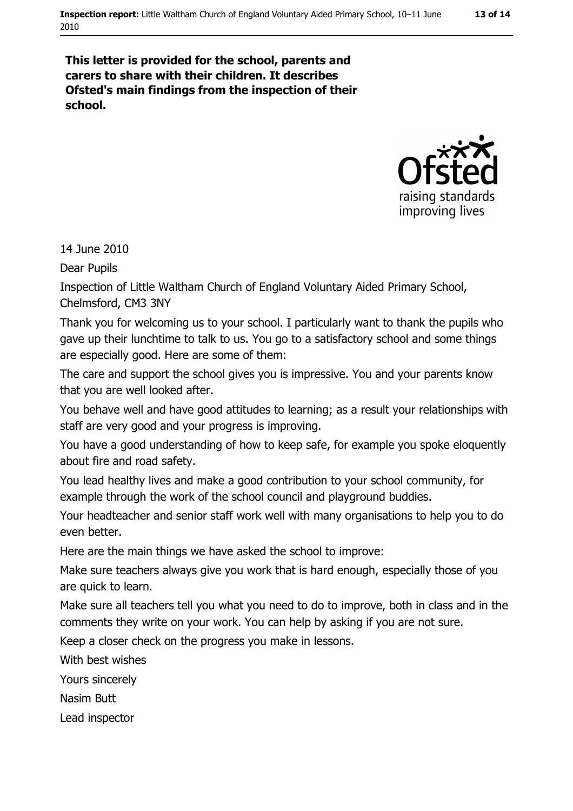#### This letter is provided for the school, parents and carers to share with their children. It describes Ofsted's main findings from the inspection of their school.



14 June 2010

**Dear Pupils** 

Inspection of Little Waltham Church of England Voluntary Aided Primary School, Chelmsford, CM3 3NY

Thank you for welcoming us to your school. I particularly want to thank the pupils who gave up their lunchtime to talk to us. You go to a satisfactory school and some things are especially good. Here are some of them:

The care and support the school gives you is impressive. You and your parents know that you are well looked after.

You behave well and have good attitudes to learning; as a result your relationships with staff are very good and your progress is improving.

You have a good understanding of how to keep safe, for example you spoke eloquently about fire and road safety.

You lead healthy lives and make a good contribution to your school community, for example through the work of the school council and playground buddies.

Your headteacher and senior staff work well with many organisations to help you to do even better.

Here are the main things we have asked the school to improve:

Make sure teachers always give you work that is hard enough, especially those of you are quick to learn.

Make sure all teachers tell you what you need to do to improve, both in class and in the comments they write on your work. You can help by asking if you are not sure.

Keep a closer check on the progress you make in lessons.

With best wishes

Yours sincerely

Nasim Butt

Lead inspector